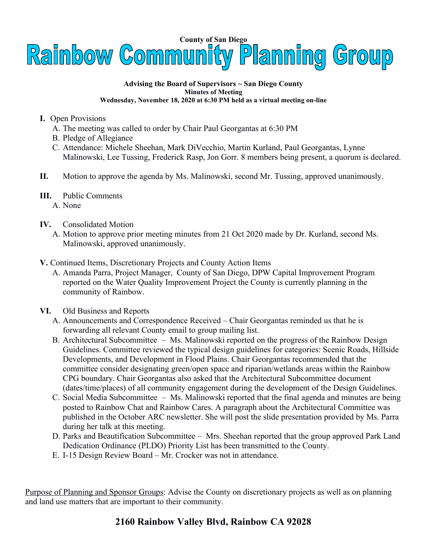

## **Advising the Board of Supervisors ~ San Diego County Minutes of Meeting Wednesday, November 18, 2020 at 6:30 PM held as a virtual meeting on-line**

- **I.** Open Provisions
	- A. The meeting was called to order by Chair Paul Georgantas at 6:30 PM
	- B. Pledge of Allegiance
	- C. Attendance: Michele Sheehan, Mark DiVecchio, Martin Kurland, Paul Georgantas, Lynne Malinowski, Lee Tussing, Frederick Rasp, Jon Gorr. 8 members being present, a quorum is declared.
- **II.** Motion to approve the agenda by Ms. Malinowski, second Mr. Tussing, approved unanimously.
- **III.** Public Comments
	- A. None
- **IV.** Consolidated Motion
	- A. Motion to approve prior meeting minutes from 21 Oct 2020 made by Dr. Kurland, second Ms. Malinowski, approved unanimously.
- **V.** Continued Items, Discretionary Projects and County Action Items
	- A. Amanda Parra, Project Manager, County of San Diego, DPW Capital Improvement Program reported on the Water Quality Improvement Project the County is currently planning in the community of Rainbow.
- **VI.** Old Business and Reports
	- A. Announcements and Correspondence Received Chair Georgantas reminded us that he is forwarding all relevant County email to group mailing list.
	- B. Architectural Subcommittee Ms. Malinowski reported on the progress of the Rainbow Design Guidelines. Committee reviewed the typical design guidelines for categories: Scenic Roads, Hillside Developments, and Development in Flood Plains. Chair Georgantas recommended that the committee consider designating green/open space and riparian/wetlands areas within the Rainbow CPG boundary. Chair Georgantas also asked that the Architectural Subcommittee document (dates/time/places) of all community engagement during the development of the Design Guidelines.
	- C. Social Media Subcommittee Ms. Malinowski reported that the final agenda and minutes are being posted to Rainbow Chat and Rainbow Cares. A paragraph about the Architectural Committee was published in the October ARC newsletter. She will post the slide presentation provided by Ms. Parra during her talk at this meeting.
	- D. Parks and Beautification Subcommittee Mrs. Sheehan reported that the group approved Park Land Dedication Ordinance (PLDO) Priority List has been transmitted to the County.
	- E. I-15 Design Review Board Mr. Crocker was not in attendance.

Purpose of Planning and Sponsor Groups: Advise the County on discretionary projects as well as on planning and land use matters that are important to their community.

## **2160 Rainbow Valley Blvd, Rainbow CA 92028**